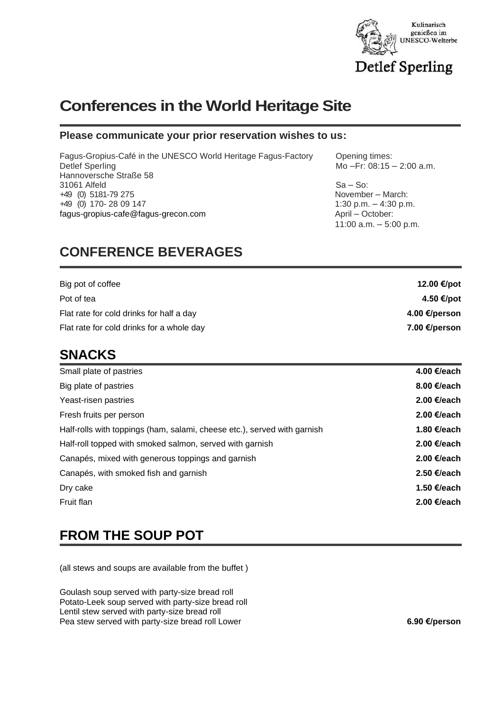

# **Conferences in the World Heritage Site**

#### **Please communicate your prior reservation wishes to us:**

Fagus-Gropius-Café in the UNESCO World Heritage Fagus-Factory Opening times: Detlef Sperling Mo – Fr: 08:15 – 2:00 a.m. Hannoversche Straße 58 31061 Alfeld Sa – So: +49 (0) 5181-79 275 +49 (0) 170- 28 09 147 1:30 p.m. – 4:30 p.m. [fagus-gropius-cafe@fagus-grecon.com](mailto:fagus-gropius-cafe@fagus-grecon.com) April – October:

## **CONFERENCE BEVERAGES**

11:00 a.m. – 5:00 p.m.

| Big pot of coffee                         | 12.00 €/pot   |
|-------------------------------------------|---------------|
| Pot of tea                                | 4.50 €/pot    |
| Flat rate for cold drinks for half a day  | 4.00 €/person |
| Flat rate for cold drinks for a whole day | 7.00 €/person |

#### **SNACKS**

| Small plate of pastries                                                  | 4.00 €/each           |
|--------------------------------------------------------------------------|-----------------------|
| Big plate of pastries                                                    | 8.00 $\epsilon$ /each |
| Yeast-risen pastries                                                     | 2.00 €/each           |
| Fresh fruits per person                                                  | 2.00 €/each           |
| Half-rolls with toppings (ham, salami, cheese etc.), served with garnish | 1.80 €/each           |
| Half-roll topped with smoked salmon, served with garnish                 | 2.00 €/each           |
| Canapés, mixed with generous toppings and garnish                        | 2.00 €/each           |
| Canapés, with smoked fish and garnish                                    | 2.50 €/each           |
| Dry cake                                                                 | 1.50 €/each           |
| Fruit flan                                                               | 2.00 €/each           |
|                                                                          |                       |

### **FROM THE SOUP POT**

(all stews and soups are available from the buffet )

Goulash soup served with party-size bread roll Potato-Leek soup served with party-size bread roll Lentil stew served with party-size bread roll Pea stew served with party-size bread roll Lower **6.90 €/person** 6.90 €/person